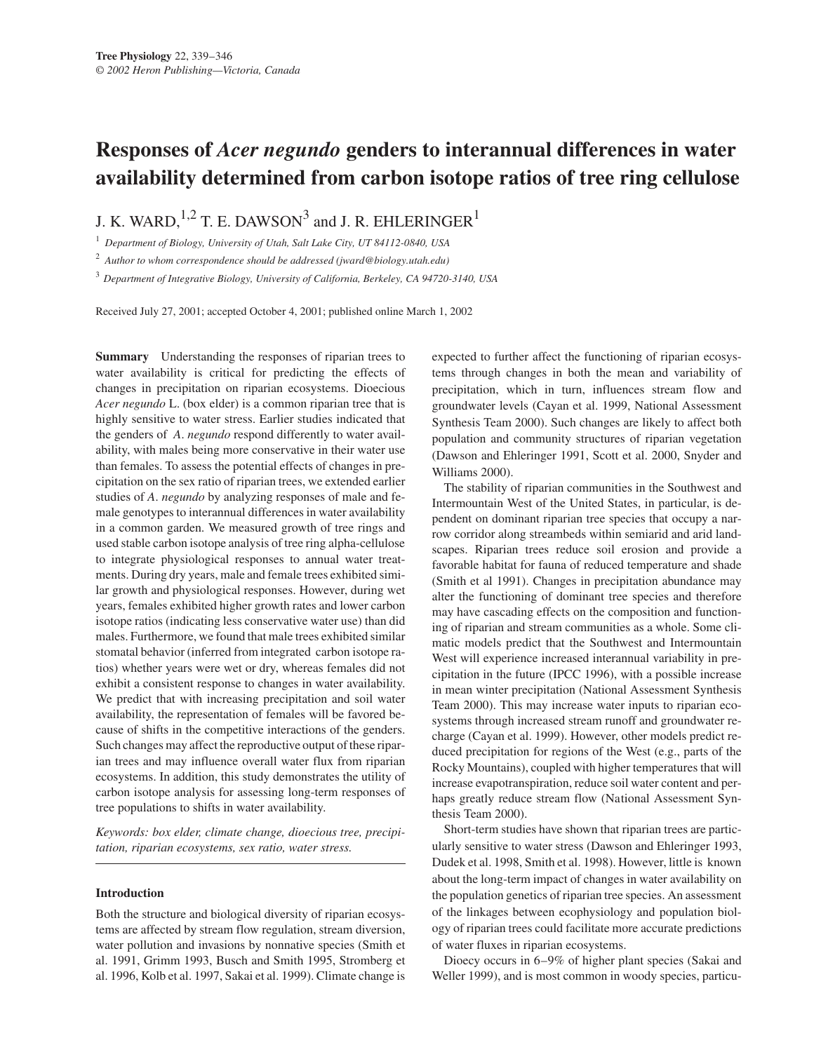# **Responses of** *Acer negundo* **genders to interannual differences in water availability determined from carbon isotope ratios of tree ring cellulose**

# J. K. WARD,  $^{1,2}$  T. E. DAWSON<sup>3</sup> and J. R. EHLERINGER<sup>1</sup>

<sup>1</sup> *Department of Biology, University of Utah, Salt Lake City, UT 84112-0840, USA*

<sup>2</sup> *Author to whom correspondence should be addressed (jward@biology.utah.edu)*

<sup>3</sup> *Department of Integrative Biology, University of California, Berkeley, CA 94720-3140, USA*

Received July 27, 2001; accepted October 4, 2001; published online March 1, 2002

**Summary** Understanding the responses of riparian trees to water availability is critical for predicting the effects of changes in precipitation on riparian ecosystems. Dioecious *Acer negundo* L. (box elder) is a common riparian tree that is highly sensitive to water stress. Earlier studies indicated that the genders of *A*. *negundo* respond differently to water availability, with males being more conservative in their water use than females. To assess the potential effects of changes in precipitation on the sex ratio of riparian trees, we extended earlier studies of *A*. *negundo* by analyzing responses of male and female genotypes to interannual differences in water availability in a common garden. We measured growth of tree rings and used stable carbon isotope analysis of tree ring alpha-cellulose to integrate physiological responses to annual water treatments. During dry years, male and female trees exhibited similar growth and physiological responses. However, during wet years, females exhibited higher growth rates and lower carbon isotope ratios (indicating less conservative water use) than did males. Furthermore, we found that male trees exhibited similar stomatal behavior (inferred from integrated carbon isotope ratios) whether years were wet or dry, whereas females did not exhibit a consistent response to changes in water availability. We predict that with increasing precipitation and soil water availability, the representation of females will be favored because of shifts in the competitive interactions of the genders. Such changes may affect the reproductive output of these riparian trees and may influence overall water flux from riparian ecosystems. In addition, this study demonstrates the utility of carbon isotope analysis for assessing long-term responses of tree populations to shifts in water availability.

*Keywords: box elder, climate change, dioecious tree, precipitation, riparian ecosystems, sex ratio, water stress.*

# **Introduction**

Both the structure and biological diversity of riparian ecosystems are affected by stream flow regulation, stream diversion, water pollution and invasions by nonnative species (Smith et al. 1991, Grimm 1993, Busch and Smith 1995, Stromberg et al. 1996, Kolb et al. 1997, Sakai et al. 1999). Climate change is expected to further affect the functioning of riparian ecosystems through changes in both the mean and variability of precipitation, which in turn, influences stream flow and groundwater levels (Cayan et al. 1999, National Assessment Synthesis Team 2000). Such changes are likely to affect both population and community structures of riparian vegetation (Dawson and Ehleringer 1991, Scott et al. 2000, Snyder and Williams 2000).

The stability of riparian communities in the Southwest and Intermountain West of the United States, in particular, is dependent on dominant riparian tree species that occupy a narrow corridor along streambeds within semiarid and arid landscapes. Riparian trees reduce soil erosion and provide a favorable habitat for fauna of reduced temperature and shade (Smith et al 1991). Changes in precipitation abundance may alter the functioning of dominant tree species and therefore may have cascading effects on the composition and functioning of riparian and stream communities as a whole. Some climatic models predict that the Southwest and Intermountain West will experience increased interannual variability in precipitation in the future (IPCC 1996), with a possible increase in mean winter precipitation (National Assessment Synthesis Team 2000). This may increase water inputs to riparian ecosystems through increased stream runoff and groundwater recharge (Cayan et al. 1999). However, other models predict reduced precipitation for regions of the West (e.g., parts of the Rocky Mountains), coupled with higher temperatures that will increase evapotranspiration, reduce soil water content and perhaps greatly reduce stream flow (National Assessment Synthesis Team 2000).

Short-term studies have shown that riparian trees are particularly sensitive to water stress (Dawson and Ehleringer 1993, Dudek et al. 1998, Smith et al. 1998). However, little is known about the long-term impact of changes in water availability on the population genetics of riparian tree species. An assessment of the linkages between ecophysiology and population biology of riparian trees could facilitate more accurate predictions of water fluxes in riparian ecosystems.

Dioecy occurs in 6–9% of higher plant species (Sakai and Weller 1999), and is most common in woody species, particu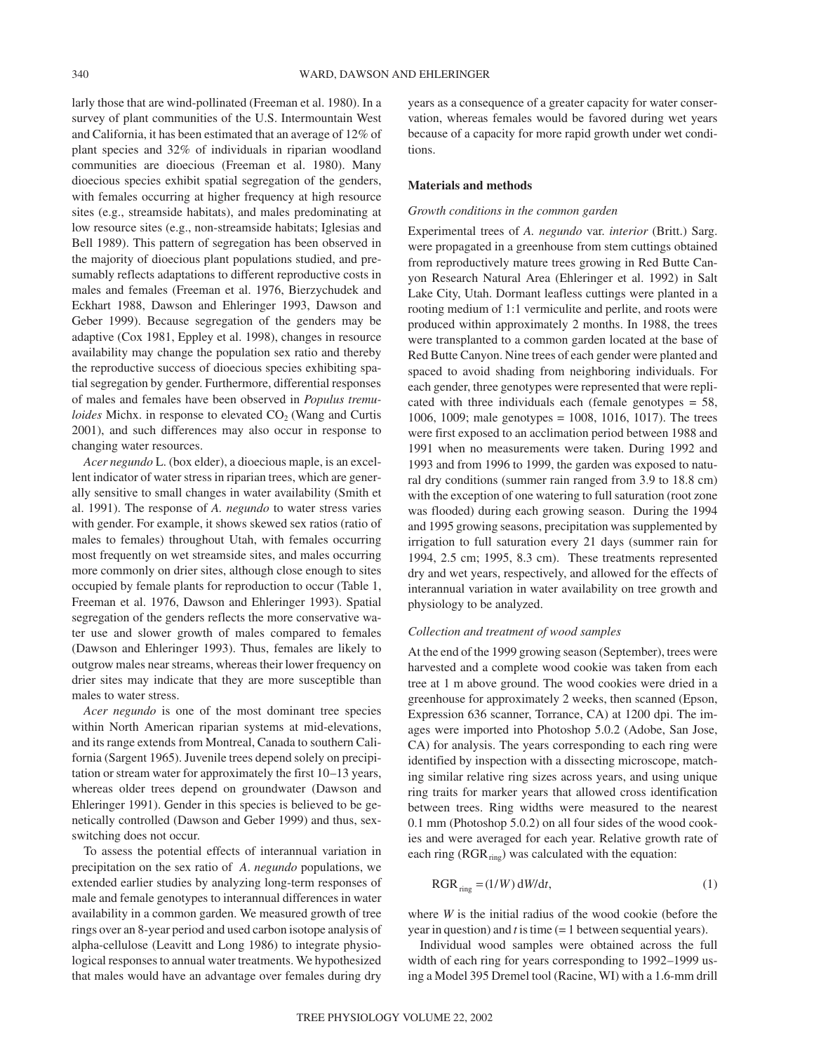larly those that are wind-pollinated (Freeman et al. 1980). In a survey of plant communities of the U.S. Intermountain West and California, it has been estimated that an average of 12% of plant species and 32% of individuals in riparian woodland communities are dioecious (Freeman et al. 1980). Many dioecious species exhibit spatial segregation of the genders, with females occurring at higher frequency at high resource sites (e.g., streamside habitats), and males predominating at low resource sites (e.g., non-streamside habitats; Iglesias and Bell 1989). This pattern of segregation has been observed in the majority of dioecious plant populations studied, and presumably reflects adaptations to different reproductive costs in males and females (Freeman et al. 1976, Bierzychudek and Eckhart 1988, Dawson and Ehleringer 1993, Dawson and Geber 1999). Because segregation of the genders may be adaptive (Cox 1981, Eppley et al. 1998), changes in resource availability may change the population sex ratio and thereby the reproductive success of dioecious species exhibiting spatial segregation by gender. Furthermore, differential responses of males and females have been observed in *Populus tremuloides* Michx. in response to elevated CO<sub>2</sub> (Wang and Curtis 2001), and such differences may also occur in response to changing water resources.

*Acer negundo* L. (box elder), a dioecious maple, is an excellent indicator of water stress in riparian trees, which are generally sensitive to small changes in water availability (Smith et al. 1991). The response of *A. negundo* to water stress varies with gender. For example, it shows skewed sex ratios (ratio of males to females) throughout Utah, with females occurring most frequently on wet streamside sites, and males occurring more commonly on drier sites, although close enough to sites occupied by female plants for reproduction to occur (Table 1, Freeman et al. 1976, Dawson and Ehleringer 1993). Spatial segregation of the genders reflects the more conservative water use and slower growth of males compared to females (Dawson and Ehleringer 1993). Thus, females are likely to outgrow males near streams, whereas their lower frequency on drier sites may indicate that they are more susceptible than males to water stress.

*Acer negundo* is one of the most dominant tree species within North American riparian systems at mid-elevations, and its range extends from Montreal, Canada to southern California (Sargent 1965). Juvenile trees depend solely on precipitation or stream water for approximately the first 10–13 years, whereas older trees depend on groundwater (Dawson and Ehleringer 1991). Gender in this species is believed to be genetically controlled (Dawson and Geber 1999) and thus, sexswitching does not occur.

To assess the potential effects of interannual variation in precipitation on the sex ratio of *A*. *negundo* populations, we extended earlier studies by analyzing long-term responses of male and female genotypes to interannual differences in water availability in a common garden. We measured growth of tree rings over an 8-year period and used carbon isotope analysis of alpha-cellulose (Leavitt and Long 1986) to integrate physiological responses to annual water treatments. We hypothesized that males would have an advantage over females during dry

years as a consequence of a greater capacity for water conservation, whereas females would be favored during wet years because of a capacity for more rapid growth under wet conditions.

#### **Materials and methods**

### *Growth conditions in the common garden*

Experimental trees of *A. negundo* var. *interior* (Britt.) Sarg. were propagated in a greenhouse from stem cuttings obtained from reproductively mature trees growing in Red Butte Canyon Research Natural Area (Ehleringer et al. 1992) in Salt Lake City, Utah. Dormant leafless cuttings were planted in a rooting medium of 1:1 vermiculite and perlite, and roots were produced within approximately 2 months. In 1988, the trees were transplanted to a common garden located at the base of Red Butte Canyon. Nine trees of each gender were planted and spaced to avoid shading from neighboring individuals. For each gender, three genotypes were represented that were replicated with three individuals each (female genotypes = 58, 1006, 1009; male genotypes = 1008, 1016, 1017). The trees were first exposed to an acclimation period between 1988 and 1991 when no measurements were taken. During 1992 and 1993 and from 1996 to 1999, the garden was exposed to natural dry conditions (summer rain ranged from 3.9 to 18.8 cm) with the exception of one watering to full saturation (root zone was flooded) during each growing season. During the 1994 and 1995 growing seasons, precipitation was supplemented by irrigation to full saturation every 21 days (summer rain for 1994, 2.5 cm; 1995, 8.3 cm). These treatments represented dry and wet years, respectively, and allowed for the effects of interannual variation in water availability on tree growth and physiology to be analyzed.

## *Collection and treatment of wood samples*

At the end of the 1999 growing season (September), trees were harvested and a complete wood cookie was taken from each tree at 1 m above ground. The wood cookies were dried in a greenhouse for approximately 2 weeks, then scanned (Epson, Expression 636 scanner, Torrance, CA) at 1200 dpi. The images were imported into Photoshop 5.0.2 (Adobe, San Jose, CA) for analysis. The years corresponding to each ring were identified by inspection with a dissecting microscope, matching similar relative ring sizes across years, and using unique ring traits for marker years that allowed cross identification between trees. Ring widths were measured to the nearest 0.1 mm (Photoshop 5.0.2) on all four sides of the wood cookies and were averaged for each year. Relative growth rate of each ring  $(RGR_{ring})$  was calculated with the equation:

$$
RGR_{ring} = (1/W) \, dW/dt, \tag{1}
$$

where *W* is the initial radius of the wood cookie (before the year in question) and *t* is time (= 1 between sequential years).

Individual wood samples were obtained across the full width of each ring for years corresponding to 1992–1999 using a Model 395 Dremel tool (Racine, WI) with a 1.6-mm drill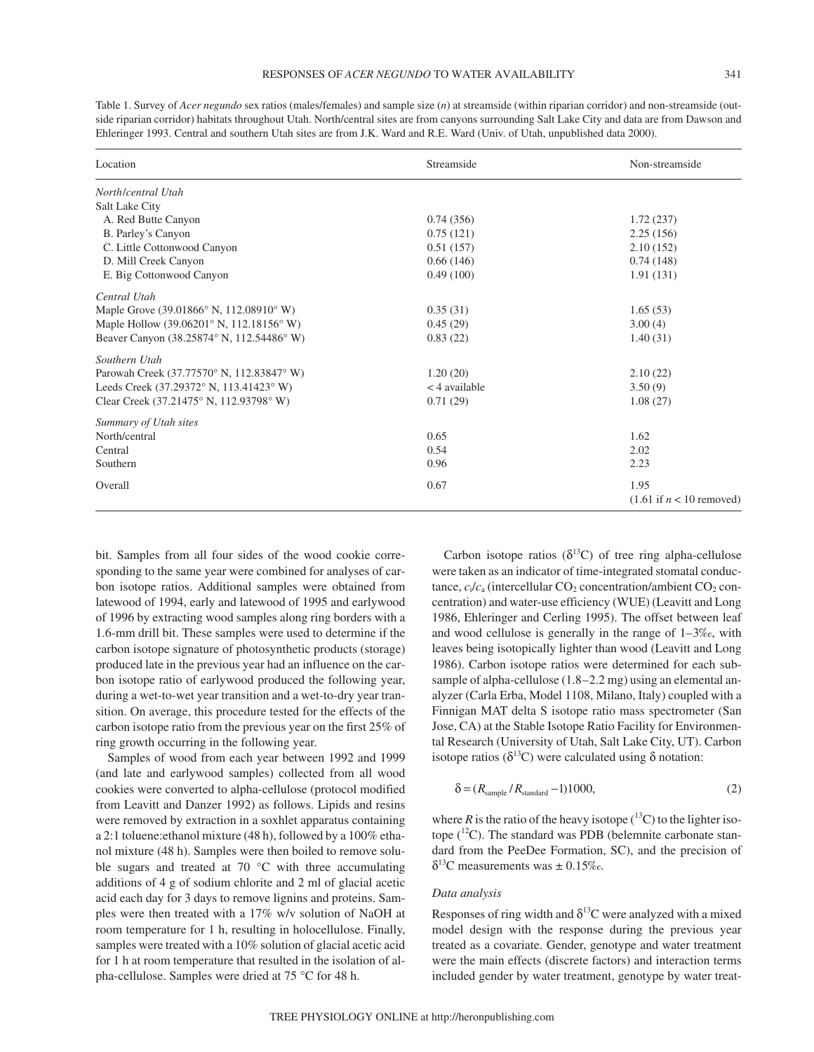| Location                                  | Streamside      | Non-streamside               |  |
|-------------------------------------------|-----------------|------------------------------|--|
| North/central Utah                        |                 |                              |  |
| <b>Salt Lake City</b>                     |                 |                              |  |
| A. Red Butte Canyon                       | 0.74(356)       | 1.72(237)                    |  |
| B. Parley's Canyon                        | 0.75(121)       | 2.25(156)                    |  |
| C. Little Cottonwood Canyon               | 0.51(157)       | 2.10(152)                    |  |
| D. Mill Creek Canyon                      | 0.66(146)       | 0.74(148)                    |  |
| E. Big Cottonwood Canyon                  | 0.49(100)       | 1.91(131)                    |  |
| Central Utah                              |                 |                              |  |
| Maple Grove (39.01866° N, 112.08910° W)   | 0.35(31)        | 1.65(53)                     |  |
| Maple Hollow (39.06201° N, 112.18156° W)  | 0.45(29)        | 3.00(4)                      |  |
| Beaver Canyon (38.25874° N, 112.54486° W) | 0.83(22)        | 1.40(31)                     |  |
| Southern Utah                             |                 |                              |  |
| Parowah Creek (37.77570° N, 112.83847° W) | 1.20(20)        | 2.10(22)                     |  |
| Leeds Creek (37.29372° N, 113.41423° W)   | $<$ 4 available | 3.50(9)                      |  |
| Clear Creek (37.21475° N, 112.93798° W)   | 0.71(29)        | 1.08(27)                     |  |
| Summary of Utah sites                     |                 |                              |  |
| North/central                             | 0.65            | 1.62                         |  |
| Central                                   | 0.54            | 2.02                         |  |
| Southern                                  | 0.96            | 2.23                         |  |
| Overall                                   | 0.67            | 1.95                         |  |
|                                           |                 | $(1.61$ if $n < 10$ removed) |  |

Table 1. Survey of *Acer negundo* sex ratios (males/females) and sample size (*n*) at streamside (within riparian corridor) and non-streamside (outside riparian corridor) habitats throughout Utah. North/central sites are from canyons surrounding Salt Lake City and data are from Dawson and Ehleringer 1993. Central and southern Utah sites are from J.K. Ward and R.E. Ward (Univ. of Utah, unpublished data 2000).

bit. Samples from all four sides of the wood cookie corresponding to the same year were combined for analyses of carbon isotope ratios. Additional samples were obtained from latewood of 1994, early and latewood of 1995 and earlywood of 1996 by extracting wood samples along ring borders with a 1.6-mm drill bit. These samples were used to determine if the carbon isotope signature of photosynthetic products (storage) produced late in the previous year had an influence on the carbon isotope ratio of earlywood produced the following year, during a wet-to-wet year transition and a wet-to-dry year transition. On average, this procedure tested for the effects of the carbon isotope ratio from the previous year on the first 25% of ring growth occurring in the following year.

Samples of wood from each year between 1992 and 1999 (and late and earlywood samples) collected from all wood cookies were converted to alpha-cellulose (protocol modified from Leavitt and Danzer 1992) as follows. Lipids and resins were removed by extraction in a soxhlet apparatus containing a 2:1 toluene:ethanol mixture (48 h), followed by a 100% ethanol mixture (48 h). Samples were then boiled to remove soluble sugars and treated at 70 °C with three accumulating additions of 4 g of sodium chlorite and 2 ml of glacial acetic acid each day for 3 days to remove lignins and proteins. Samples were then treated with a 17% w/v solution of NaOH at room temperature for 1 h, resulting in holocellulose. Finally, samples were treated with a 10% solution of glacial acetic acid for 1 h at room temperature that resulted in the isolation of alpha-cellulose. Samples were dried at 75 °C for 48 h.

Carbon isotope ratios  $(\delta^{13}C)$  of tree ring alpha-cellulose were taken as an indicator of time-integrated stomatal conductance,  $c_i/c_a$  (intercellular CO<sub>2</sub> concentration/ambient CO<sub>2</sub> concentration) and water-use efficiency (WUE) (Leavitt and Long 1986, Ehleringer and Cerling 1995). The offset between leaf and wood cellulose is generally in the range of 1–3‰, with leaves being isotopically lighter than wood (Leavitt and Long 1986). Carbon isotope ratios were determined for each subsample of alpha-cellulose (1.8–2.2 mg) using an elemental analyzer (Carla Erba, Model 1108, Milano, Italy) coupled with a Finnigan MAT delta S isotope ratio mass spectrometer (San Jose, CA) at the Stable Isotope Ratio Facility for Environmental Research (University of Utah, Salt Lake City, UT). Carbon isotope ratios ( $\delta^{13}$ C) were calculated using δ notation:

$$
\delta = (R_{\text{sample}} / R_{\text{standard}} - 1)1000,\tag{2}
$$

where *R* is the ratio of the heavy isotope  $(^{13}C)$  to the lighter isotope  $(^{12}C)$ . The standard was PDB (belemnite carbonate standard from the PeeDee Formation, SC), and the precision of  $δ<sup>13</sup>C$  measurements was  $±$  0.15‰.

### *Data analysis*

Responses of ring width and  $\delta^{13}$ C were analyzed with a mixed model design with the response during the previous year treated as a covariate. Gender, genotype and water treatment were the main effects (discrete factors) and interaction terms included gender by water treatment, genotype by water treat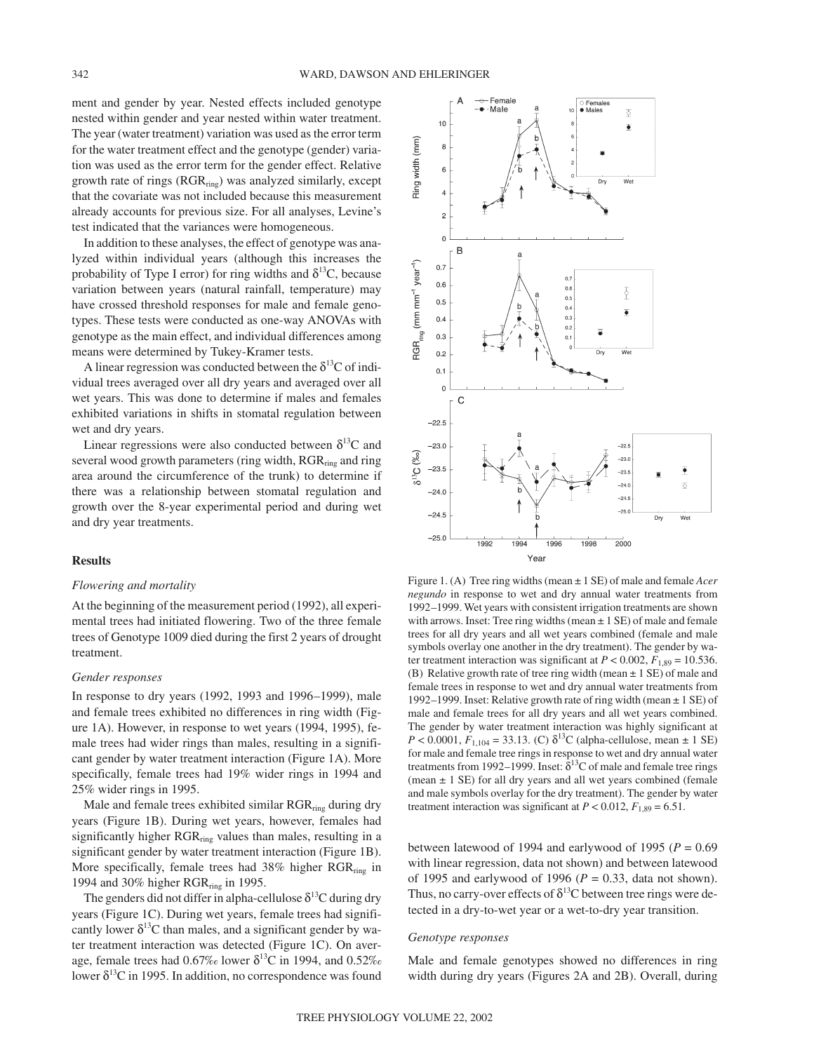ment and gender by year. Nested effects included genotype nested within gender and year nested within water treatment. The year (water treatment) variation was used as the error term for the water treatment effect and the genotype (gender) variation was used as the error term for the gender effect. Relative growth rate of rings (RGR<sub>ring</sub>) was analyzed similarly, except that the covariate was not included because this measurement already accounts for previous size. For all analyses, Levine's test indicated that the variances were homogeneous.

In addition to these analyses, the effect of genotype was analyzed within individual years (although this increases the probability of Type I error) for ring widths and  $\delta^{13}C$ , because variation between years (natural rainfall, temperature) may have crossed threshold responses for male and female genotypes. These tests were conducted as one-way ANOVAs with genotype as the main effect, and individual differences among means were determined by Tukey-Kramer tests.

A linear regression was conducted between the  $\delta^{13}C$  of individual trees averaged over all dry years and averaged over all wet years. This was done to determine if males and females exhibited variations in shifts in stomatal regulation between wet and dry years.

Linear regressions were also conducted between  $\delta^{13}C$  and several wood growth parameters (ring width, RGR<sub>ring</sub> and ring area around the circumference of the trunk) to determine if there was a relationship between stomatal regulation and growth over the 8-year experimental period and during wet and dry year treatments.

## **Results**

### *Flowering and mortality*

At the beginning of the measurement period (1992), all experimental trees had initiated flowering. Two of the three female trees of Genotype 1009 died during the first 2 years of drought treatment.

#### *Gender responses*

In response to dry years (1992, 1993 and 1996–1999), male and female trees exhibited no differences in ring width (Figure 1A). However, in response to wet years (1994, 1995), female trees had wider rings than males, resulting in a significant gender by water treatment interaction (Figure 1A). More specifically, female trees had 19% wider rings in 1994 and 25% wider rings in 1995.

Male and female trees exhibited similar  $RGR<sub>ring</sub>$  during dry years (Figure 1B). During wet years, however, females had significantly higher  $RGR<sub>ring</sub>$  values than males, resulting in a significant gender by water treatment interaction (Figure 1B). More specifically, female trees had 38% higher RGR<sub>ring</sub> in 1994 and 30% higher RGR<sub>ring</sub> in 1995.

The genders did not differ in alpha-cellulose  $\delta^{13}$ C during dry years (Figure 1C). During wet years, female trees had significantly lower  $\delta^{13}$ C than males, and a significant gender by water treatment interaction was detected (Figure 1C). On average, female trees had  $0.67\%$  lower  $\delta^{13}$ C in 1994, and  $0.52\%$ lower  $\delta^{13}$ C in 1995. In addition, no correspondence was found



Figure 1. (A) Tree ring widths (mean ± 1 SE) of male and female *Acer negundo* in response to wet and dry annual water treatments from 1992–1999. Wet years with consistent irrigation treatments are shown with arrows. Inset: Tree ring widths (mean  $\pm$  1 SE) of male and female trees for all dry years and all wet years combined (female and male symbols overlay one another in the dry treatment). The gender by water treatment interaction was significant at  $P < 0.002$ ,  $F_{1,89} = 10.536$ . (B) Relative growth rate of tree ring width (mean  $\pm$  1 SE) of male and female trees in response to wet and dry annual water treatments from 1992–1999. Inset: Relative growth rate of ring width (mean ± 1 SE) of male and female trees for all dry years and all wet years combined. The gender by water treatment interaction was highly significant at *P* < 0.0001,  $F_{1,104}$  = 33.13. (C)  $\delta^{13}$ C (alpha-cellulose, mean  $\pm$  1 SE) for male and female tree rings in response to wet and dry annual water treatments from 1992–1999. Inset:  $\delta^{13}$ C of male and female tree rings (mean  $\pm$  1 SE) for all dry years and all wet years combined (female and male symbols overlay for the dry treatment). The gender by water treatment interaction was significant at  $P < 0.012$ ,  $F_{1,89} = 6.51$ .

between latewood of 1994 and earlywood of 1995 ( $P = 0.69$ ) with linear regression, data not shown) and between latewood of 1995 and earlywood of 1996 (*P* = 0.33, data not shown). Thus, no carry-over effects of  $\delta^{13}$ C between tree rings were detected in a dry-to-wet year or a wet-to-dry year transition.

#### *Genotype responses*

Male and female genotypes showed no differences in ring width during dry years (Figures 2A and 2B). Overall, during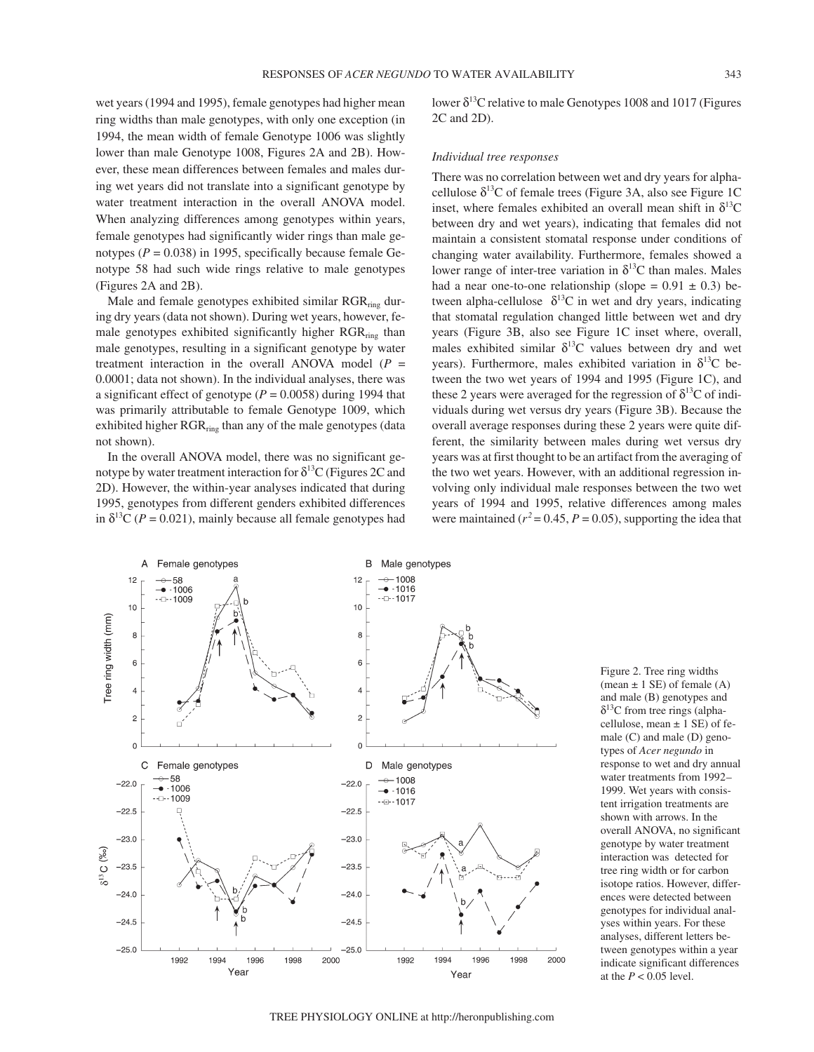wet years (1994 and 1995), female genotypes had higher mean ring widths than male genotypes, with only one exception (in 1994, the mean width of female Genotype 1006 was slightly lower than male Genotype 1008, Figures 2A and 2B). However, these mean differences between females and males during wet years did not translate into a significant genotype by water treatment interaction in the overall ANOVA model. When analyzing differences among genotypes within years, female genotypes had significantly wider rings than male genotypes ( $P = 0.038$ ) in 1995, specifically because female Genotype 58 had such wide rings relative to male genotypes (Figures 2A and 2B).

Male and female genotypes exhibited similar RGR<sub>ring</sub> during dry years (data not shown). During wet years, however, female genotypes exhibited significantly higher RGR<sub>ring</sub> than male genotypes, resulting in a significant genotype by water treatment interaction in the overall ANOVA model  $(P =$ 0.0001; data not shown). In the individual analyses, there was a significant effect of genotype  $(P = 0.0058)$  during 1994 that was primarily attributable to female Genotype 1009, which exhibited higher  $RGR<sub>ring</sub>$  than any of the male genotypes (data not shown).

In the overall ANOVA model, there was no significant genotype by water treatment interaction for  $\delta^{13}$ C (Figures 2C and 2D). However, the within-year analyses indicated that during 1995, genotypes from different genders exhibited differences in  $\delta^{13}C$  ( $P = 0.021$ ), mainly because all female genotypes had lower  $\delta^{13}$ C relative to male Genotypes 1008 and 1017 (Figures 2C and 2D).

## *Individual tree responses*

There was no correlation between wet and dry years for alphacellulose  $\delta^{13}$ C of female trees (Figure 3A, also see Figure 1C inset, where females exhibited an overall mean shift in  $\delta^{13}C$ between dry and wet years), indicating that females did not maintain a consistent stomatal response under conditions of changing water availability. Furthermore, females showed a lower range of inter-tree variation in  $\delta^{13}$ C than males. Males had a near one-to-one relationship (slope =  $0.91 \pm 0.3$ ) between alpha-cellulose  $\delta^{13}$ C in wet and dry years, indicating that stomatal regulation changed little between wet and dry years (Figure 3B, also see Figure 1C inset where, overall, males exhibited similar  $\delta^{13}$ C values between dry and wet years). Furthermore, males exhibited variation in  $\delta^{13}C$  between the two wet years of 1994 and 1995 (Figure 1C), and these 2 years were averaged for the regression of  $\delta^{13}C$  of individuals during wet versus dry years (Figure 3B). Because the overall average responses during these 2 years were quite different, the similarity between males during wet versus dry years was at first thought to be an artifact from the averaging of the two wet years. However, with an additional regression involving only individual male responses between the two wet years of 1994 and 1995, relative differences among males were maintained ( $r^2$  = 0.45, *P* = 0.05), supporting the idea that



Figure 2. Tree ring widths (mean  $\pm$  1 SE) of female (A) and male (B) genotypes and  $\delta^{13}$ C from tree rings (alphacellulose, mean  $\pm$  1 SE) of female (C) and male (D) genotypes of *Acer negundo* in response to wet and dry annual water treatments from 1992– 1999. Wet years with consistent irrigation treatments are shown with arrows. In the overall ANOVA, no significant genotype by water treatment interaction was detected for tree ring width or for carbon isotope ratios. However, differences were detected between genotypes for individual analyses within years. For these analyses, different letters between genotypes within a year indicate significant differences at the *P* < 0.05 level.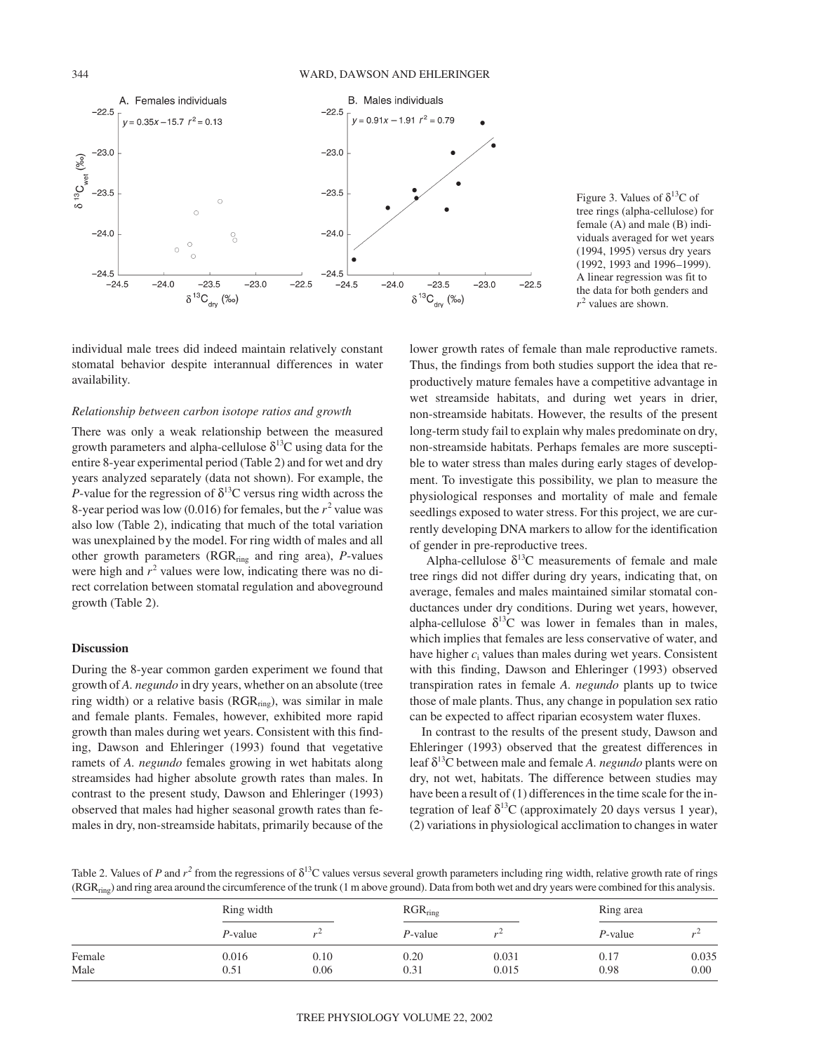

Figure 3. Values of  $\delta^{13}C$  of tree rings (alpha-cellulose) for female (A) and male (B) individuals averaged for wet years (1994, 1995) versus dry years (1992, 1993 and 1996–1999). A linear regression was fit to the data for both genders and *r*<sup>2</sup> values are shown.

individual male trees did indeed maintain relatively constant stomatal behavior despite interannual differences in water availability.

#### *Relationship between carbon isotope ratios and growth*

There was only a weak relationship between the measured growth parameters and alpha-cellulose  $\delta^{13}$ C using data for the entire 8-year experimental period (Table 2) and for wet and dry years analyzed separately (data not shown). For example, the *P*-value for the regression of  $\delta^{13}$ C versus ring width across the 8-year period was low  $(0.016)$  for females, but the  $r<sup>2</sup>$  value was also low (Table 2), indicating that much of the total variation was unexplained by the model. For ring width of males and all other growth parameters (RGR<sub>ring</sub> and ring area), *P*-values were high and  $r<sup>2</sup>$  values were low, indicating there was no direct correlation between stomatal regulation and aboveground growth (Table 2).

# **Discussion**

During the 8-year common garden experiment we found that growth of *A. negundo* in dry years, whether on an absolute (tree ring width) or a relative basis ( $RGR<sub>ring</sub>$ ), was similar in male and female plants. Females, however, exhibited more rapid growth than males during wet years. Consistent with this finding, Dawson and Ehleringer (1993) found that vegetative ramets of *A. negundo* females growing in wet habitats along streamsides had higher absolute growth rates than males. In contrast to the present study, Dawson and Ehleringer (1993) observed that males had higher seasonal growth rates than females in dry, non-streamside habitats, primarily because of the

lower growth rates of female than male reproductive ramets. Thus, the findings from both studies support the idea that reproductively mature females have a competitive advantage in wet streamside habitats, and during wet years in drier, non-streamside habitats. However, the results of the present long-term study fail to explain why males predominate on dry, non-streamside habitats. Perhaps females are more susceptible to water stress than males during early stages of development. To investigate this possibility, we plan to measure the physiological responses and mortality of male and female seedlings exposed to water stress. For this project, we are currently developing DNA markers to allow for the identification of gender in pre-reproductive trees.

Alpha-cellulose  $\delta^{13}$ C measurements of female and male tree rings did not differ during dry years, indicating that, on average, females and males maintained similar stomatal conductances under dry conditions. During wet years, however, alpha-cellulose  $\delta^{13}$ C was lower in females than in males, which implies that females are less conservative of water, and have higher *c*<sup>i</sup> values than males during wet years. Consistent with this finding, Dawson and Ehleringer (1993) observed transpiration rates in female *A. negundo* plants up to twice those of male plants. Thus, any change in population sex ratio can be expected to affect riparian ecosystem water fluxes.

In contrast to the results of the present study, Dawson and Ehleringer (1993) observed that the greatest differences in leaf δ13C between male and female *A. negundo* plants were on dry, not wet, habitats. The difference between studies may have been a result of (1) differences in the time scale for the integration of leaf  $\delta^{13}C$  (approximately 20 days versus 1 year), (2) variations in physiological acclimation to changes in water

Table 2. Values of P and  $r^2$  from the regressions of  $\delta^{13}C$  values versus several growth parameters including ring width, relative growth rate of rings (RGRring) and ring area around the circumference of the trunk (1 m above ground). Data from both wet and dry years were combined for this analysis.

|        | Ring width |      | RGR <sub>ring</sub> |       | Ring area  |       |
|--------|------------|------|---------------------|-------|------------|-------|
|        | $P$ -value |      | $P$ -value          |       | $P$ -value |       |
| Female | 0.016      | 0.10 | 0.20                | 0.031 | 0.17       | 0.035 |
| Male   | 0.51       | 0.06 | 0.31                | 0.015 | 0.98       | 0.00  |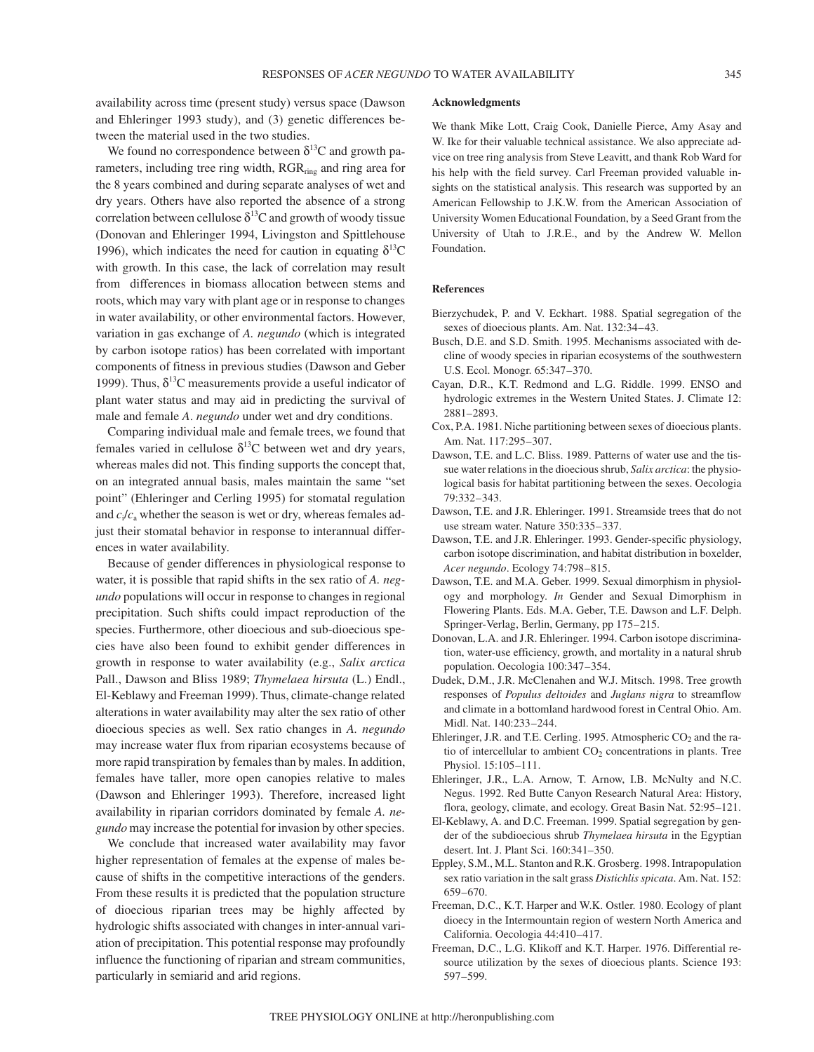availability across time (present study) versus space (Dawson and Ehleringer 1993 study), and (3) genetic differences between the material used in the two studies.

We found no correspondence between  $\delta^{13}$ C and growth parameters, including tree ring width, RGR<sub>ring</sub> and ring area for the 8 years combined and during separate analyses of wet and dry years. Others have also reported the absence of a strong correlation between cellulose  $\delta^{13}$ C and growth of woody tissue (Donovan and Ehleringer 1994, Livingston and Spittlehouse 1996), which indicates the need for caution in equating  $\delta^{13}C$ with growth. In this case, the lack of correlation may result from differences in biomass allocation between stems and roots, which may vary with plant age or in response to changes in water availability, or other environmental factors. However, variation in gas exchange of *A. negundo* (which is integrated by carbon isotope ratios) has been correlated with important components of fitness in previous studies (Dawson and Geber 1999). Thus,  $\delta^{13}$ C measurements provide a useful indicator of plant water status and may aid in predicting the survival of male and female *A*. *negundo* under wet and dry conditions.

Comparing individual male and female trees, we found that females varied in cellulose  $\delta^{13}$ C between wet and dry years, whereas males did not. This finding supports the concept that, on an integrated annual basis, males maintain the same "set point" (Ehleringer and Cerling 1995) for stomatal regulation and  $c_i/c_a$  whether the season is wet or dry, whereas females adjust their stomatal behavior in response to interannual differences in water availability.

Because of gender differences in physiological response to water, it is possible that rapid shifts in the sex ratio of *A. negundo* populations will occur in response to changes in regional precipitation. Such shifts could impact reproduction of the species. Furthermore, other dioecious and sub-dioecious species have also been found to exhibit gender differences in growth in response to water availability (e.g., *Salix arctica* Pall., Dawson and Bliss 1989; *Thymelaea hirsuta* (L.) Endl., El-Keblawy and Freeman 1999). Thus, climate-change related alterations in water availability may alter the sex ratio of other dioecious species as well. Sex ratio changes in *A. negundo* may increase water flux from riparian ecosystems because of more rapid transpiration by females than by males. In addition, females have taller, more open canopies relative to males (Dawson and Ehleringer 1993). Therefore, increased light availability in riparian corridors dominated by female *A. negundo* may increase the potential for invasion by other species.

We conclude that increased water availability may favor higher representation of females at the expense of males because of shifts in the competitive interactions of the genders. From these results it is predicted that the population structure of dioecious riparian trees may be highly affected by hydrologic shifts associated with changes in inter-annual variation of precipitation. This potential response may profoundly influence the functioning of riparian and stream communities, particularly in semiarid and arid regions.

#### **Acknowledgments**

We thank Mike Lott, Craig Cook, Danielle Pierce, Amy Asay and W. Ike for their valuable technical assistance. We also appreciate advice on tree ring analysis from Steve Leavitt, and thank Rob Ward for his help with the field survey. Carl Freeman provided valuable insights on the statistical analysis. This research was supported by an American Fellowship to J.K.W. from the American Association of University Women Educational Foundation, by a Seed Grant from the University of Utah to J.R.E., and by the Andrew W. Mellon Foundation.

#### **References**

- Bierzychudek, P. and V. Eckhart. 1988. Spatial segregation of the sexes of dioecious plants. Am. Nat. 132:34–43.
- Busch, D.E. and S.D. Smith. 1995. Mechanisms associated with decline of woody species in riparian ecosystems of the southwestern U.S. Ecol. Monogr. 65:347–370.
- Cayan, D.R., K.T. Redmond and L.G. Riddle. 1999. ENSO and hydrologic extremes in the Western United States. J. Climate 12: 2881–2893.
- Cox, P.A. 1981. Niche partitioning between sexes of dioecious plants. Am. Nat. 117:295–307.
- Dawson, T.E. and L.C. Bliss. 1989. Patterns of water use and the tissue water relations in the dioecious shrub, *Salix arctica*: the physiological basis for habitat partitioning between the sexes. Oecologia 79:332–343.
- Dawson, T.E. and J.R. Ehleringer. 1991. Streamside trees that do not use stream water. Nature 350:335–337.
- Dawson, T.E. and J.R. Ehleringer. 1993. Gender-specific physiology, carbon isotope discrimination, and habitat distribution in boxelder, *Acer negundo*. Ecology 74:798–815.
- Dawson, T.E. and M.A. Geber. 1999. Sexual dimorphism in physiology and morphology. *In* Gender and Sexual Dimorphism in Flowering Plants. Eds. M.A. Geber, T.E. Dawson and L.F. Delph. Springer-Verlag, Berlin, Germany, pp 175–215.
- Donovan, L.A. and J.R. Ehleringer. 1994. Carbon isotope discrimination, water-use efficiency, growth, and mortality in a natural shrub population. Oecologia 100:347–354.
- Dudek, D.M., J.R. McClenahen and W.J. Mitsch. 1998. Tree growth responses of *Populus deltoides* and *Juglans nigra* to streamflow and climate in a bottomland hardwood forest in Central Ohio. Am. Midl. Nat. 140:233–244.
- Ehleringer, J.R. and T.E. Cerling. 1995. Atmospheric  $CO<sub>2</sub>$  and the ratio of intercellular to ambient  $CO<sub>2</sub>$  concentrations in plants. Tree Physiol. 15:105–111.
- Ehleringer, J.R., L.A. Arnow, T. Arnow, I.B. McNulty and N.C. Negus. 1992. Red Butte Canyon Research Natural Area: History, flora, geology, climate, and ecology. Great Basin Nat. 52:95–121.
- El-Keblawy, A. and D.C. Freeman. 1999. Spatial segregation by gender of the subdioecious shrub *Thymelaea hirsuta* in the Egyptian desert. Int. J. Plant Sci. 160:341–350.
- Eppley, S.M., M.L. Stanton and R.K. Grosberg. 1998. Intrapopulation sex ratio variation in the salt grass *Distichlis spicata*. Am. Nat. 152: 659–670.
- Freeman, D.C., K.T. Harper and W.K. Ostler. 1980. Ecology of plant dioecy in the Intermountain region of western North America and California. Oecologia 44:410–417.
- Freeman, D.C., L.G. Klikoff and K.T. Harper. 1976. Differential resource utilization by the sexes of dioecious plants. Science 193: 597–599.